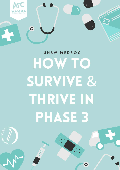

 $\bullet$ 

# UNSW MEDSOC HOW TO **SURVIVE & THRIVE IN PHASE 3**

 $\overline{\mathbf{o}}$ 

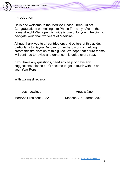

## **Introduction**

Hello and welcome to the MedSoc Phase Three Guide! Congratulations on making it to Phase Three - you're on the home stretch! We hope this guide is useful for you in helping to navigate your final two years of Medicine.

A huge thank you to all contributors and editors of this guide, particularly to Dayna Duncan for her hard work on helping create this first version of this guide. We hope that future teams will continue to revise and enhance this guide every year.

If you have any questions, need any help or have any suggestions, please don't hesitate to get in touch with us or your Year Reps!

With warmest regards,

Josh Lowinger **Angela Xue** 

MedSoc President 2022 Medsoc VP External 2022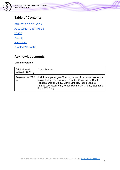

## **Table of Contents**

[STRUCTURE OF PHASE 3](#page-2-0) [ASSESSMENTS IN PHASE 3](#page-4-0) [YEAR 5](#page-7-0) [YEAR 6](#page-12-0) **[ELECTIVES](#page-17-0)** [PLACEMENT HACKS](#page-18-0)

## **Acknowledgements**

#### **Original Version**

<span id="page-2-0"></span>

| Original version<br>written in 2021 by | Dayna Duncan                                                                                                                                                                                                                                                   |
|----------------------------------------|----------------------------------------------------------------------------------------------------------------------------------------------------------------------------------------------------------------------------------------------------------------|
| Reviewed in 2022<br>by                 | Josh Lowinger, Angela Xue, Joyce Wu, Aziz Lawandos, Anna<br>Maxwell, Anju Ramanayake, Ben Xie, Chris Cunio, Dineth<br>Fonseka, Daniel Liu, Ivy Jiang, Jing Hsu, Jash Vanjara,<br>Natalie Lee, Roshi Kan, Reece Pahn, Sally Chung, Stephanie<br>Shim, Will Choy |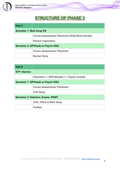

# **STRUCTURE OF PHASE 3**

| Year <sub>5</sub>                  |                                                      |  |
|------------------------------------|------------------------------------------------------|--|
| Semester 1: Med/ Surg/ ED          |                                                      |  |
|                                    | Course assessments/ Placement/ White Book Activities |  |
|                                    | Elective organisation                                |  |
| Semester 2: GP/Paeds or Psych/ O&G |                                                      |  |
|                                    | Course assessments/ Placement                        |  |
|                                    | <b>Biomed Study</b>                                  |  |

| Year <sub>6</sub>                          |                                               |
|--------------------------------------------|-----------------------------------------------|
| <b>STP: Elective</b>                       |                                               |
|                                            | Placement +/- NPS Modules +/- Classie modules |
|                                            | Semester 1: GP/Paeds or Psych/ O&G            |
|                                            | Course assessments/ Placement                 |
|                                            | <b>VIVA Study</b>                             |
| <b>Semester 2: Selective, Exams, PRINT</b> |                                               |
|                                            | VIVA, OSCE & MCQ Study                        |
|                                            | Portfolio                                     |

₩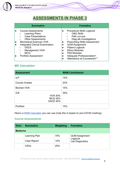

# **ASSESSMENTS IN PHASE 3**

<span id="page-4-0"></span>

| <b>Summative</b>                       | <b>Formative</b>                     |
|----------------------------------------|--------------------------------------|
| <b>Course Assessments</b>              | <b>Procedural Skills Logbook</b>     |
| <b>Learning Plans</b>                  | <b>O&amp;G Skills</b>                |
| $\circ$                                | $\circ$                              |
| <b>Case Presentations</b>              | Path cut-ups                         |
| $\circ$                                | $\circ$                              |
| <b>Other Assessments</b>               | Diag lab investigations              |
| $\bigcirc$                             | $\circ$                              |
| <b>Biomedical Sciences VIVA</b>        | <b>Prescribing Skills Assessment</b> |
| $\bullet$                              | $\bullet$                            |
| <b>Integrated Clinical Examination</b> | <b>QUM Assignment</b>                |
| <b>OSCE</b>                            | $\bullet$                            |
| $\circ$                                | <b>Patient Logbook</b>               |
| <b>Management VIVA</b>                 | <b>Ethics Modules</b>                |
| $\circ$                                | <b>PSA Modules</b>                   |
| <b>MCQ</b>                             | Adequate Professionalism*            |
| $\bigcirc$                             | $\bullet$                            |
| <b>Portfolio Assessment</b>            | Attendance at Coursework**           |

## *MD Calculation*

| <b>Assessment</b>                                                  | <b>WAM Contribution</b> |
|--------------------------------------------------------------------|-------------------------|
| <b>ILP</b>                                                         | 15%                     |
| <b>Course Grades</b>                                               | 20%                     |
| <b>Biomed VIVA</b>                                                 | 15%                     |
| <b>ICE</b><br><b>VIVA 30%</b><br><b>MCQ 30%</b><br><b>OSCE 40%</b> | 35%                     |
| Portfolio                                                          | 15%                     |

Here's a [WAM Calculator](https://1drv.ms/x/s!AvN2QS6anrX63VDwgioMHbzZUb61?e=FblzkT) you can use (note this is based on pre-COVID marking)

## *Course Assessments*

| <b>Term</b>     | <b>Summative</b>       | <b>Weighting</b> | <b>Formative</b>           |
|-----------------|------------------------|------------------|----------------------------|
| <b>Medicine</b> |                        |                  |                            |
|                 | Learning Plan          | 70%              | <b>QUM Assignment</b>      |
|                 | Case Report            | 10%              | Logbook<br>Lab Diagnostics |
|                 | <b>CEX<sub>s</sub></b> | 20%              |                            |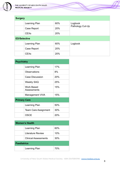

| <b>Surgery</b>      |                        |     |                  |  |
|---------------------|------------------------|-----|------------------|--|
|                     | Learning Plan          | 60% | Logbook          |  |
|                     | Case Report            | 20% | Pathology Cut-Up |  |
|                     | <b>CEXs</b>            | 20% |                  |  |
| <b>ED/Selective</b> |                        |     |                  |  |
|                     | Learning Plan          | 60% | Logbook          |  |
|                     | Case Report            | 20% |                  |  |
|                     | <b>CEX<sub>s</sub></b> | 20% |                  |  |

| <b>Psychiatry</b>   |                             |     |
|---------------------|-----------------------------|-----|
|                     | Learning Plan               | 17% |
|                     | Observations                | 8%  |
|                     | <b>Case Discussion</b>      | 20% |
|                     | <b>Weekly SAQ</b>           | 25% |
|                     | Work Based<br>Assessments   | 15% |
|                     | <b>Management VIVA</b>      | 15% |
| <b>Primary Care</b> |                             |     |
|                     | Learning Plan               | 50% |
|                     | <b>Team Care Assignment</b> | 30% |
|                     | <b>OSCE</b>                 | 20% |

| <b>Women's Health</b> |                             |     |
|-----------------------|-----------------------------|-----|
|                       | Learning Plan               | 60% |
|                       | Literature Review           | 10% |
|                       | <b>Clinical Assessments</b> | 30% |
| <b>Paediatrics</b>    |                             |     |
|                       | Learning Plan               | 70% |

 $\mathscr{M}$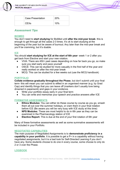

| <b>Case Presentation</b> | 20% |
|--------------------------|-----|
| <b>CEX<sub>s</sub></b>   | 10% |

## *Assessment Tips*

#### **BIOMED**

You don't need to **start studying** for BioMed until **after the mid-year break**- this is enough to get through all the cases 2-3 times. It's ok to start studying at the beginning of the year but be aware of burnout. Any later than the mid-year break and you'll be cramming, but it's doable.

#### **ICE**

You should **start studying for ICE at the start of 6th year**- week 1 or 2 after you get back from Elective and start your new rotation.

- VIVA: There are 450+ past cases depending on how far back you go, so make sure you start early and pace yourself
- OSCE: This can be studied for more casually in the first half of the year and really worked on after the mid-year break
- MCQ: This can be studied for a few weeks out (use the MCQ handbook)

#### **PORTFOLIO**

**Collate evidence gradually throughout the Phase**, but don't submit until your final term- this will mean you can submit to eMed in an organised manner (e.g. by Grad Cap) and identify things that you can leave off (markers don't usually love being drowned in paperwork) and gaps in your evidence.

- Write your portfolio essay early in your final term
- You can write and memorise your speech and practice answers after ICE

#### **FORMATIVE ASSESSMENTS**

- **Ethics Modules:** You can either do these course by course as you go, smash them all out over the summer holidays, or cram them in your final rotation before ICE (Be aware you will be very busy with ICE study at this time)
- **NPS Modules:** These are most helpful to do in 6th year as they can be examined in the Pharmacology station of ICE
- **Elective Report:** This is due at the end of your first rotation of 6th year

Many of these formative assessments as well as some summative assessments will be included in your Portfolio.

#### **NEGOTIATED CAPABILITIES**

The main purpose of Negotiated Assignments is to **demonstrate proficiency in a capability in your portfolio**. It is possible to get a P+ in a capability without having negotiated assignments, but it is a bad look for Self-Directed Learning if you don't have any. Some students choose to do one in every course, some choose to only do 2 or 3 over the Phase.

#### **LOGBOOK**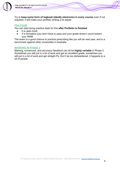

Try to **keep some form of logbook (ideally electronic) in every course** even if not required- it will make your portfolio writing a lot easier.

#### **PSA EXAM**

You can start doing practice tests for this **after Portfolio is finished**

- It is open book
- It is formative (you don't have to pass and your grade doesn't count toward your WAM

The exam is a good chance to practice prescribing like you will be next year, and is a benchmark against other universities in Australia.

#### **MARKING IN PHASE 3**

<span id="page-7-0"></span>Marking, turnaround, and accuracy/ feedback can all be **highly variable** in Phase 3. Sometimes you will put in a lot of work and get an excellent grade, sometimes you will put in a lot of work and get straight Ps. Don't be too disheartened, it happens to a lot of people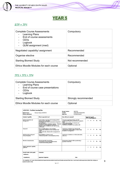



## *STP + TP1*

| <b>Complete Course Assessments</b><br><b>Learning Plans</b><br>End of course assessments<br><b>CEXS</b><br>Logbook<br>QUM assignment (med) | Compulsory      |
|--------------------------------------------------------------------------------------------------------------------------------------------|-----------------|
| Negotiated capability/assignment                                                                                                           | Recommended     |
| Organise elective                                                                                                                          | Recommended     |
| <b>Starting Biomed Study</b>                                                                                                               | Not recommended |
| Ethics Moodle Modules for each course                                                                                                      | Optional        |

## *TP2 + TP3 + TP4*

| <b>Complete Course Assessments</b><br><b>Learning Plans</b><br>$\blacksquare$<br>End of course case presentations<br>$\sim$<br><b>CEXS</b><br>Logbook<br>- | Compulsory           |
|------------------------------------------------------------------------------------------------------------------------------------------------------------|----------------------|
| <b>Starting Biomed Study</b>                                                                                                                               | Strongly recommended |
| Ethics Moodle Modules for each course                                                                                                                      | Optional             |

| <b>MFAC3503: Psychiatry Learning Plan</b><br><b>Student Name:</b><br><b>Clinical Attachment:</b> | Duncan, Dayna (z5120513)                                                                                                                                                                                                                                                                                                                | <b>Receipt Number:</b><br>Created:<br>Supervisor:                                                                                                                                                                             | 9IWFYG9<br>29/04/2021 03:02:42 PM<br><b>Dr Kristen Barrett</b> |  |    |      |           |           |
|--------------------------------------------------------------------------------------------------|-----------------------------------------------------------------------------------------------------------------------------------------------------------------------------------------------------------------------------------------------------------------------------------------------------------------------------------------|-------------------------------------------------------------------------------------------------------------------------------------------------------------------------------------------------------------------------------|----------------------------------------------------------------|--|----|------|-----------|-----------|
| <b>Graduate Capability</b>                                                                       | What is expected of you?                                                                                                                                                                                                                                                                                                                | How will you be assessed?                                                                                                                                                                                                     | Supervisor's grade<br>(PTO for grading guide)                  |  |    |      |           |           |
| <b>Patient Assessment and</b><br>Management                                                      | Clinical skills in assessing and managing patients<br>with psychiatric disorders.<br>• Participate in the clinical assessment of inpatients<br>and outpatients.<br>. Discuss with team consultant/registrar - diagnosis,<br>formulation and management of patients.<br>. Regular review of inpatients and report during<br>ward rounds. | • Accurate reporting of history and MSE.<br>· Understand biopsychosocial factors in patient's<br>illness.<br>• Basic understanding of treatments and<br>management principles.<br>· Satisfactory feedback from medical staff. |                                                                |  |    |      | <b>NA</b> |           |
| <b>Teamwork</b>                                                                                  | Role of multidisciplinary team members.<br>. Attend and contribute to team meetings/ward<br>rounds.<br>• Liaise with other clinical staff in management of<br>patients.                                                                                                                                                                 | · Satisfactory feedback from clinical staff.<br>*Demonstrate understanding of roles of other<br>disciplines in management.                                                                                                    |                                                                |  |    | $P+$ | <b>NA</b> |           |
| <b>Self-Directed Learning and</b><br><b>Critical Evaluation</b>                                  | Responsibilities of doctor in unit.<br>. Attend at least 80% of all scheduled activities.                                                                                                                                                                                                                                               | • Satisfactory attendance at clinical placement,<br>clinics etc.                                                                                                                                                              |                                                                |  |    |      | <b>NA</b> |           |
| <b>Effective Communication</b>                                                                   | Interviewing skills in psychiatry.<br>• Participate in interviewing skills tutorials.<br>· Practice interviewing patients.                                                                                                                                                                                                              | psychiatric interview.                                                                                                                                                                                                        | Demonstrate adequate skills in performing a                    |  |    |      | P+        | <b>NA</b> |
| <b>Student negotiated capability</b><br>(optional)                                               |                                                                                                                                                                                                                                                                                                                                         |                                                                                                                                                                                                                               |                                                                |  | P. | P    | $P+$      | <b>NA</b> |
| Overall Grade: (circle grade)<br><b>Satisfactory</b>                                             | <b>Comments:</b>                                                                                                                                                                                                                                                                                                                        |                                                                                                                                                                                                                               |                                                                |  |    |      |           |           |
| Unsatisfactory                                                                                   | <b>Supervisor's Signature:</b>                                                                                                                                                                                                                                                                                                          |                                                                                                                                                                                                                               | Date:                                                          |  |    |      |           |           |

On completion of 4 week clinical attachment supervisor/consultant should mark &make comment then fax or send back to site supervisor (rather than relying on student to deliver this)

 $\mathscr{I}$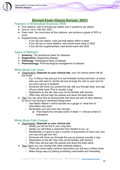

## **Biomed Exam (Dayna Duncan, 2021)**

#### **Features of Biomedical Sciences VIVA:**

- Four stations, with 8 minutes per station and 4 questions per station
- Occurs 1st to 14th Nov 2021
- Pass mark: You must pass all four stations, and achieve a grade of 50% or more
- Supplementary exams:
	- $\circ$  If you fail one station, resit just that station within a week
	- If you fail two or more stations, resit whole exam early in 2022
	- If you fail the supplementary, resit whole exam late 2022

## **Types of Stations:**

- 1. **Anatomy:** The anatomical basis for diseases
- 2. **Diagnostics:** Diagnosing disease
- 3. **Pathology:** Pathological basis of disease
- 4. **Pharmacology:** Pharmacological management of disease

## **White Book Lab Tests:**

- *Organisation:* **Depends on your clinical site**, your clin school admin will let you know
	- E.g. In Albury they just put it on out timetable during med term, at some sites you will need to call the lab and arrange the visit on your own for you and a group of students
	- Someone will show you around the lab, talk you through tests, and sign off your white book (This is usually a reg)
	- Dependent on the lab, they may not be familiar with biomed
	- Often they will just sign the spaces and leave the tests blank
- *Tips:* You can save time by picking tests that have are part of other stations, so you're not having to remember things twice
	- Use Martin Weber's online tutorials as a gauge of what kind of information they want
	- Remember you only have two minutes
		- That means two minutes worth of detail +/- clinical context or indications

## **White Book Path Cutups:**

- *Organisation*: **Depends on your clinical site**
	- Ideally you will do this in your surg term
		- Ideally you will follow a specimen from theatre to cut up
		- Realistically it is good to see a number of specimens on each visit, and you may only get one visit
		- Someone will show you through the cup-up process (usually a reg)
		- Dependent on the lab, they may not be familiar with biomed
		- Often they will just sign the spaces and leave the tests blank
- *Tips:* Again you can overlap with other potential stations
	- There are some really common specimens you will see a million times
	- Make things easy by picking something memorable and interesting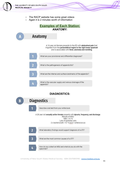

- The RACP website has some great videos
- Again it is 2 minutes worth of information

## **Examples of Each Station: ANATOMY:**

Anatomy A 16 year old female presents to the ED with abdominal pain that migrated from the periumbilical region to the right lower quadrant and is associated with fever, anorexia and vomiting What are your provisional and differential diagnoses? What is the pathogenesis of appendicitis? What are the internal and surface landmarks of the appendix? What is the vascular supply and venous drainage of the appendix?

## **DIAGNOSTICS:**

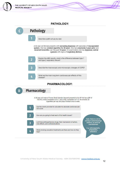

## **PATHOLOGY:**



stations, so don't be<br>overwhelmed!

What smoking cessation treatments are there and how do they help?

side effects, and contraindications

E.g. anticoagulants,<br>antiplatelets, antibiotics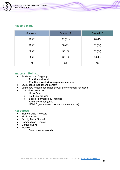

## **Passing Mark**

| Scenario 1 | Scenario 2 | Scenario 3 |
|------------|------------|------------|
| 70 (P)     | $90(P+)$   | 70 (P)     |
| 70 (P)     | $50(P-)$   | $50(P-)$   |
| 30 $(F)$   | 30 $(F)$   | $50(P-)$   |
| 30 $(F)$   | 30 $(F)$   | 30 $(F)$   |
| 50         | 55         | 50         |

## **Important Points:**

- Study as part of a group
	- **Practice out loud**
	- **Practice structuring responses early on**
- Study cases- not general content
- Learn how to approach cases as well as the content for cases
- Use online resources
	- Up to Date
	- BMJ Best practise
	- Speed Pharmacology (Youtube)
	- Armando videos (anat)
	- USMLE guide (mnemonics and memory tricks)

#### **Resources**

- Biomed Case Protocols
- Mock Stations
- Faculty Mock Biomed
- Campus Mock Biomed
- Campus Days
- <span id="page-12-0"></span>Moodle
	- Smartsparrow tutorials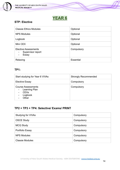



## **STP: Elective**

| <b>Classie Ethics Modules</b>                             | Optional         |
|-----------------------------------------------------------|------------------|
| <b>NPS Modules</b>                                        | Optional         |
| Logbook                                                   | Optional         |
| Mini CEX                                                  | Optional         |
| <b>Elective Assessments</b><br>Supervisor report<br>Essay | Compulsory       |
| Relaxing                                                  | <b>Essential</b> |

## **TP1:**

| Start studying for Year 6 VIVAs                                                          | <b>Strongly Recommended</b> |
|------------------------------------------------------------------------------------------|-----------------------------|
| <b>Elective Essay</b>                                                                    | Compulsory                  |
| <b>Course Assessments</b><br>Learning Plan<br><b>CEX<sub>s</sub></b><br>Logbook<br>Other | Compulsory                  |

## **TP2 + TP3 + TP4: Selective/ Exams/ PRINT**

| Studying for VIVAs     | Compulsory |
|------------------------|------------|
| <b>OSCE Study</b>      | Compulsory |
| <b>MCQ Study</b>       | Compulsory |
| Portfolio Essay        | Compulsory |
| <b>NPS Modules</b>     | Compulsory |
| <b>Classie Modules</b> | Compulsory |

┹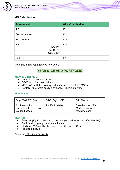

## **MD Calculation**

| <b>Assessment</b>                                                  | <b>WAM Contribution</b> |
|--------------------------------------------------------------------|-------------------------|
| <b>ILP</b>                                                         | 15%                     |
| <b>Course Grades</b>                                               | 20%                     |
| <b>Biomed VIVA</b>                                                 | 15%                     |
| <b>ICE</b><br><b>VIVA 30%</b><br><b>MCQ 30%</b><br><b>OSCE 40%</b> | 35%                     |
| Portfolio                                                          | 15%                     |

*\*Note this is subject to change and COVID*

## **YEAR 6 ICE AND PORTFOLIO**

#### **Year 6 ICE and MCQ:**

- VIVA: 8 x 10 minute stations
- OSCE:9 x 12 minute stations
- MCQ:140 multiple choice questions based on the AMC MCQs
- Portfolio: 1500 word essay + evidence + 30min interview

#### **VIVA Exams:**

| Surg, Med, ED, Paeds                                              | O&G, Psych, GP     | Clin Pharm                                                 |
|-------------------------------------------------------------------|--------------------|------------------------------------------------------------|
| 2 x 5min stations<br>One will be from a bank of<br>released cases | 1 x 10 min station | Based on the NPS<br>Modules, similar to a<br>medicine case |

#### **VIVA Tips:**

- Start studying from the start of the year (second week back after elective)
- Get in a study group + make a schedule
- Study for VIVAs will be the basis for MCQs and OSCEs
- Practice out loud

#### Example: [2021 Study Schedule](https://docs.google.com/spreadsheets/d/1k81_a7NhgMjVn_P1FBm1RpNoHHFbhwOba7J30U6lrr8/edit?usp=sharing)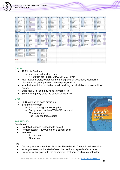

#### **OSCEs**

- 12 Minute Stations
	- 2 x Stations for Med, Surg
	- 1 x Station for Paeds, O&G, GP, ED, Psych
- May involve history, explanation of a diagnosis or treatment, counselling, physical exam, real patients, mannequins, or sims
- You decide which examination you'll be doing, so all stations require a bit of history
- Suggest Ix, Rx, and may need to interpret Ix
- Summarising may be to the patient or examiner

#### **MCQ**

- 20 Questions on each discipline
- 3 hour online exam
	- Start studying 2-3 weeks prior
	- Study based on the AMC MCQ Handbook + Memorandums
	- The RCS has three copies

#### **PORTFOLIO**

Consists of

- Portfolio Evidence (uploaded to emed)
- Portfolio Essay (1500 words on 3 capabilities)
- **Interview** 
	- 7 min speech
	- Questions

#### **Tips**

- Gather your evidence throughout the Phase but don't submit until selective
- Write your essay at the start of selective, and your speech after exams
- Put work in, but go in with the expectation that your marks may not reflect

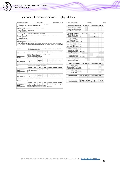

## your work, the assessment can be highly arbitrary

agnosis, most likely & most serious diagnosis to exclud

| Receipt: PDFrequestEMEDC69TV8                                |                                                                     |                                                                                                                                                                               | Student: z5120513                                                                                                               |                         |             |                        | Created: 27/08/2021 08:14 AM | Receipt: PDFrequestEMEDC69TV8                                                                              |                      | Student: z5120513 |                |         |          |                                   |          | Creat          |              |  |  |
|--------------------------------------------------------------|---------------------------------------------------------------------|-------------------------------------------------------------------------------------------------------------------------------------------------------------------------------|---------------------------------------------------------------------------------------------------------------------------------|-------------------------|-------------|------------------------|------------------------------|------------------------------------------------------------------------------------------------------------|----------------------|-------------------|----------------|---------|----------|-----------------------------------|----------|----------------|--------------|--|--|
| Phase 3 Learning Plan                                        |                                                                     |                                                                                                                                                                               |                                                                                                                                 | <b>Overall Feedback</b> |             |                        |                              |                                                                                                            |                      |                   |                |         |          |                                   |          |                |              |  |  |
| Surgery Learning Plan<br>[5JWFSGJ] 25/02/2020 11:52<br>AM    |                                                                     | An excellent term Dayna. Well done !                                                                                                                                          |                                                                                                                                 |                         |             |                        |                              | Phase 3 Evidence Of Achievement                                                                            |                      | Using<br>Science  | Social<br>Cult | Pat     | E# Com   | Teamwo<br>$\overline{\mathbf{r}}$ | Self Dir | Ethio          | Prac         |  |  |
| Medicine Learning Plan<br>[HJWF4GM] 19/04/2020 09:14<br>PM   |                                                                     | Health Systems Strengthening- Online Course<br>(QJWF8H4) 26/08/2021 10:29 PM<br>Well done Dayna on a great term in Medicine.<br>Introduction to Central Australian Aboriginal |                                                                                                                                 |                         |             | Y<br>Y                 |                              |                                                                                                            |                      |                   |                |         |          |                                   |          |                |              |  |  |
| Selective Learning Plan<br>[CJWF9GP] 26/06/2020 04:04<br>PM  | Well done Dayna.                                                    |                                                                                                                                                                               |                                                                                                                                 |                         |             |                        |                              | Cultures and Context- Centre For Rural Health<br>Alice Springs [TJWFMH5] 26/08/2021 10:34 PM               |                      |                   |                |         |          |                                   |          |                |              |  |  |
| Selective Learning Plan<br>[DJWF9GQ] 26/06/2020 04:06<br>PM  |                                                                     |                                                                                                                                                                               | Well done Dayna on a great term in ED/Selective                                                                                 |                         |             |                        |                              | Phase 3 Supportive Evidence                                                                                | Cours<br>٠           | Using<br>Science  | Social<br>Cult | Pat     | Eff Com  | Teamwo<br>食                       | Self Dir | Eth &<br>Legal | Ref<br>Prac  |  |  |
| Children's Health Learning Plan                              |                                                                     |                                                                                                                                                                               | Congratulations Dayna on an excellent term. Your willingness to delve into aspects is self evident.                             |                         |             |                        |                              | QUM for Health Professional Students<br>[2JWF7GL] 31/03/2020 11:46 AM                                      | P3Ge<br>$\mathbf{r}$ |                   |                | Y       |          |                                   |          |                |              |  |  |
| [SJWFFGT] 15/09/2020 03:31<br>PM                             |                                                                     |                                                                                                                                                                               |                                                                                                                                 |                         |             |                        |                              | O&G Learning Plan P+ [8JWFGHK]<br>26/08/2021 04:58 PM                                                      | SEL                  |                   |                | Y       | ٧        | Y                                 | Y        |                |              |  |  |
| Psychiatry Learning Plan<br>[9JWFSG8] 29/04/2021 03:00       |                                                                     |                                                                                                                                                                               |                                                                                                                                 |                         |             |                        |                              | Mini CEX Surgery (2) [CJWF6HL]<br>26/08/2021 05:06 PM                                                      | SUR                  |                   |                | Y       |          |                                   |          |                |              |  |  |
| <b>PM</b>                                                    |                                                                     |                                                                                                                                                                               |                                                                                                                                 |                         |             |                        |                              | Mini CEX Medicine (4) [GJWFCHM]<br>26/08/2021 05:11 PM                                                     | <b>MED</b>           |                   |                | Y       |          |                                   |          |                |              |  |  |
| Psychiatry Learning Plan<br>[9JWFYG9] 29/04/2021 03:02<br>PM | Solid term. Well done.                                              |                                                                                                                                                                               |                                                                                                                                 |                         |             |                        |                              | MiniCEX ED/Selective (4) [JJWFJHN]<br>26/08/2021 05:16 PM                                                  | <b>EMG</b>           |                   |                | Y       |          |                                   |          |                |              |  |  |
| Primary Care Learning Plan                                   |                                                                     |                                                                                                                                                                               | Good approach to what was at times a difficult rotation due to variability in supervisors; Needed to be                         |                         |             |                        |                              | Paediatrics MiniCEX (1) [KJWFVHP]<br>26/08/2021 05:18 PM                                                   | CH                   |                   |                | Y       |          |                                   |          |                |              |  |  |
| [GJWFKHD] 25/06/2021 02:12<br>PM                             | research                                                            |                                                                                                                                                                               | proactive to get opportunities. Excellent case record and very interesting case based study and                                 |                         |             |                        |                              | ObsGyn CEX (2) [LJWF5HQ] 26/08/2021<br>05:21 PM                                                            | OG                   |                   |                | Y       |          |                                   |          |                |              |  |  |
|                                                              |                                                                     |                                                                                                                                                                               |                                                                                                                                 |                         |             |                        |                              | Psych CEX (6) [NJWFLHS] 26/08/2021<br>05:24 PM                                                             | PSY                  |                   |                | v       |          |                                   |          |                |              |  |  |
|                                                              |                                                                     |                                                                                                                                                                               | This grid is a new feature for those who used an app for the mini-CEX. For students who could not use the app, their mini-CEX's |                         |             |                        |                              | GP CEX (6) [PJWFVHT] 26/08/2021 05:27<br><b>PM</b>                                                         | <b>PC</b>            |                   |                | v       |          |                                   |          |                |              |  |  |
| Mini-CEXs                                                    |                                                                     | have been uploaded as Supportive Evidence                                                                                                                                     |                                                                                                                                 |                         |             |                        |                              | Selective Ananesthetics/Med CEX (9 P+)<br>[VJWFGHV] 26/08/2021 05:35 PM                                    | SEL                  |                   |                | Y       |          |                                   |          |                |              |  |  |
|                                                              | Course/Phase                                                        | <b>History</b>                                                                                                                                                                | Physical<br>examination                                                                                                         | Synthesis               | Explanation | Professionalism        | <b>Overall Rating</b>        | Surgery Reflective Clinical Logbook<br>[2JWFHHW] 26/08/2021 05:45 PM                                       | SUR                  | <b>V</b>          |                | Y       |          |                                   |          | Y              | Y            |  |  |
| 7JWFTF2 31/10/2019 12:56 PM                                  | CTC                                                                 | P                                                                                                                                                                             | NA                                                                                                                              | Р.                      | P           | $\mathbf{p}$           | P                            | Medicine Reflective Clinical Logbook<br>[7JWFCHX] 26/08/2021 09:56 PM                                      | <b>MED</b>           | Y                 | Y              | Y       | Y        |                                   |          | Y              | Y            |  |  |
| <b>Best aspects</b>                                          | Good patient rapport<br>Social history was very thoroughly explored |                                                                                                                                                                               | Patient was comfortable and clear instruction were given during examinations                                                    |                         |             |                        |                              | ED/ Selective Reflective Clinical Logbook<br>[CJWFXHY] 26/08/2021 10:05 PM                                 | <b>EMG</b>           |                   |                | Y       | Y        |                                   |          |                |              |  |  |
| Suggestions for improvement                                  |                                                                     |                                                                                                                                                                               | To do a more focused history and illicit symptoms                                                                               |                         |             |                        |                              | O&G Reflective Clinical Logbook                                                                            | OG.                  | Y                 |                | Y       |          |                                   | Y        | Y              | Y            |  |  |
| Agreed actions                                               |                                                                     |                                                                                                                                                                               | To do a more focused history and illicit symptoms                                                                               |                         |             |                        |                              | [JJWFZHZ] 26/08/2021 10:17 PM<br>Psychiatry Reflective Clinical Logbook                                    | PSY                  |                   | v              | v       |          |                                   |          |                | Y            |  |  |
|                                                              | Course/Phase                                                        | History                                                                                                                                                                       | Physical<br>oxaminatio                                                                                                          | Synthesis               | Explanation | Professionalism        | <b>Overall Rating</b>        | [MJWFCH2] 26/08/2021 10:21 PM<br>Primary Care Reflective Clinical Logbook<br>[PJWFVH3] 26/08/2021 10:26 PM | PC                   |                   |                | Y       |          |                                   |          |                | Y            |  |  |
| 7JWFTF4 31/10/2019 01:10 PM                                  | CTC                                                                 | p                                                                                                                                                                             | <b>NA</b>                                                                                                                       | p.                      | Þ           | D <sub>a</sub>         | Þ                            |                                                                                                            |                      |                   |                |         |          |                                   |          |                |              |  |  |
| <b>Best aspects</b>                                          |                                                                     |                                                                                                                                                                               | Good rapport and social history. Good screen for depression. Organised history with food structure.                             |                         |             |                        |                              |                                                                                                            | Eff Com<br>Pat       |                   |                | Teamwo  | Self Dir | Eth A                             |          |                |              |  |  |
| Suggestions for Improvement                                  |                                                                     |                                                                                                                                                                               | To understand more about specific symptoms from clinical experience                                                             |                         |             |                        |                              | Phase 3 Upload Assessment                                                                                  |                      | Using<br>Science  | Social<br>Out  |         |          | ٠                                 |          | Legal          | Post<br>Prac |  |  |
| Agreed actions                                               |                                                                     |                                                                                                                                                                               | To understand more about specific symptoms to look up out for                                                                   |                         |             |                        |                              | Mini-CEX - with a Peer Assessor [7JWFCF5]<br>31/10/2019 03:55 PM                                           |                      |                   |                |         |          |                                   |          |                | Y            |  |  |
|                                                              | Course/Phase                                                        | <b>History</b>                                                                                                                                                                | Physical<br>examination                                                                                                         | <b>Synthesis</b>        | Explanation | <b>Professionalism</b> | <b>Overall Rating</b>        | Professionalism (CTC) Module - Statement of<br>Completion [KJWFYF7] 07/11/2019 10:19 PM                    |                      |                   |                |         |          |                                   |          | Y              |              |  |  |
| QJWFHF6 07/11/2019 02:28 PM                                  | CTC                                                                 | p                                                                                                                                                                             | <b>NA</b>                                                                                                                       | p                       | p           | p                      | p                            | NPS National Standard Medication Charts course<br>certificate [CJWFJGC] 21/11/2019 12:06 PM                |                      |                   |                | v       |          |                                   |          |                |              |  |  |
| <b>Best aspects</b>                                          | Good and thorough social history                                    |                                                                                                                                                                               |                                                                                                                                 |                         |             |                        |                              | Mini-CEX - with a Peer Assessor [WJWFTGD]<br>21/11/2019 02:37 PM                                           |                      |                   |                |         |          |                                   |          |                | Y            |  |  |
| Suggestions for improvement                                  | NA                                                                  |                                                                                                                                                                               |                                                                                                                                 |                         |             |                        |                              | Classie modules completion certificate [3JWFKHB]<br>06/06/2021 12:49 PM                                    |                      |                   |                |         |          |                                   |          | Y              |              |  |  |
| Agreed actions                                               | NA                                                                  |                                                                                                                                                                               |                                                                                                                                 |                         |             |                        |                              |                                                                                                            |                      |                   |                |         |          |                                   |          |                |              |  |  |
|                                                              |                                                                     |                                                                                                                                                                               |                                                                                                                                 |                         |             |                        |                              |                                                                                                            |                      |                   |                |         |          |                                   |          |                |              |  |  |
|                                                              | Course/Phase                                                        | History                                                                                                                                                                       | Physical<br>examination                                                                                                         | Synthesi                | Explanation | Professionalism        | <b>Overall Rating</b>        | Phase 2 Portfolio Review                                                                                   | Overall<br>Grade     | Using<br>Science  | Social<br>Cult | Pat     | Eff Com  | Teamwo<br>直                       | Self Dir | Eth &<br>Legal | Prac         |  |  |
| NJWF2F9 14/11/2019 11:25 AM                                  | CTC                                                                 | p                                                                                                                                                                             | $\circ$                                                                                                                         | $P+$                    | P           | $P+$                   | P                            | [5JWFDFT] 08/05/2019 09:53 AM                                                                              | Sat                  | p                 | p              | $p_4$   | p        | $P_{+}$                           | p        | P              | P            |  |  |
| <b>Best aspects</b>                                          |                                                                     |                                                                                                                                                                               | Good rapport, good work up on presenting complain                                                                               |                         |             |                        |                              |                                                                                                            |                      |                   |                |         |          |                                   |          |                |              |  |  |
| Suggestions for improvement                                  | <b>NA</b>                                                           |                                                                                                                                                                               |                                                                                                                                 |                         |             |                        |                              |                                                                                                            |                      |                   |                |         |          |                                   |          |                |              |  |  |
| Agreed actions                                               | <b>NA</b>                                                           |                                                                                                                                                                               |                                                                                                                                 |                         |             |                        |                              | Phase 1 Portfolio Review                                                                                   | Overall<br>Grade     | Using<br>Scienc   | Social<br>Cult | Pat     | Eff Com  | Teamen<br>×                       | Self Dir | Eth &<br>Legal | Ref<br>Prac  |  |  |
|                                                              |                                                                     | <b>History</b>                                                                                                                                                                |                                                                                                                                 | Synthesis               | Explanation | Professionalism        |                              | [5JWFCD5] 15/01/2018 07:51 AM                                                                              | $P_{+}$              | P                 | $P_{+}$        | $P_{4}$ | $P_{+}$  | P                                 | $P_{+}$  | $P+$           | P            |  |  |
|                                                              | Course/Phase                                                        |                                                                                                                                                                               | Physical<br>oxaminatio                                                                                                          |                         |             |                        | <b>Overall Rating</b>        |                                                                                                            |                      |                   |                |         |          |                                   |          |                |              |  |  |
| NJWF2GB 14/11/2019 01:01 PM                                  | CTC                                                                 | P <sub>4</sub>                                                                                                                                                                | <b>NA</b>                                                                                                                       | P                       | $P_{+}$     | P <sub>A</sub>         | P.                           |                                                                                                            |                      |                   |                |         |          |                                   |          |                |              |  |  |
| <b>Best aspects</b>                                          |                                                                     |                                                                                                                                                                               | Calm, clear & concise. Repeat patient summary to double check                                                                   |                         |             |                        |                              |                                                                                                            |                      |                   |                |         |          |                                   |          |                |              |  |  |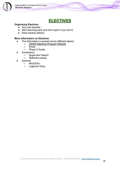

# **ELECTIVES**

## <span id="page-17-0"></span>**Organising Electives**

- Very self directed
- Start planning early (but don't panic if you don't)
- Have backup options

#### **More Information on Electives**

- The information is spread across different places
	- ○ [UNSW Medicine Program Website](https://medprogram.med.unsw.edu.au/elective)
	- Emed
	- Phase 3 Guide
- **Compulsory** 
	- Supervisor Report
	- Reflective essay
- **Optional** 
	- MiniCEXs
	- Logbook/ Diary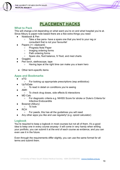

# **PLACEMENT HACKS**

#### <span id="page-18-0"></span>**What to Pack**

This will change a bit depending on what ward you're on and what hospital you're at. Since Albury is paper-note based there are a few extra things you need

- Notebook & Pen
	- Take a few pens- have a spare one that you lend to your reg or consultant that is not your favourite!
- Papers (+/- clipboard)
	- Progress Note Paper
	- Imaging ordering forms
	- Path ordering forms
	- Spare obs, fluid balance, IV fluid, and med charts
- **Goggles**
- Pen torch, stethoscope, tape
	- Having tape at the right time can make you a team hero
- Other term-specific items

## **Apps and Bookmarks**

- $eTG$ 
	- For looking up appropriate prescriptions (esp antibiotics)
- **UpToDate** 
	- To read in detail on conditions you're seeing
- AMH
	- To check drug doses, side effects & interactions
- MD Calc
	- For diagnostic criteria e.g. NIHSS Score for stroke or Duke's Criteria for Infective Endocarditis
- Bossnet (Albury)
	- To look
- **RCH** 
	- For paeds, this has all the quidelines you will need
- Any other apps you like and use regularly! (e.g. opioid calculator)

#### **Logbook**

You're required to keep a logbook in most courses but not all of them. It's a good idea to keep one in every course anyway- it will come in very handy when writing your portfolio, you can submit it at the end of each course as evidence, and you can even use it in the future.

Even through the requirements differ slightly, you can use the same format for all terms and submit them.